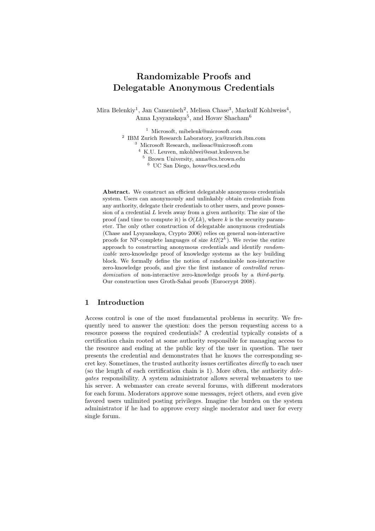# Randomizable Proofs and Delegatable Anonymous Credentials

Mira Belenkiy<sup>1</sup>, Jan Camenisch<sup>2</sup>, Melissa Chase<sup>3</sup>, Markulf Kohlweiss<sup>4</sup>, Anna Lysyanskaya<sup>5</sup>, and Hovav Shacham<sup>6</sup>

> Microsoft, mibelenk@microsoft.com IBM Zurich Research Laboratory, jca@zurich.ibm.com Microsoft Research, melissac@microsoft.com K.U. Leuven, mkohlwei@esat.kuleuven.be Brown University, anna@cs.brown.edu UC San Diego, hovav@cs.ucsd.edu

Abstract. We construct an efficient delegatable anonymous credentials system. Users can anonymously and unlinkably obtain credentials from any authority, delegate their credentials to other users, and prove possession of a credential  $L$  levels away from a given authority. The size of the proof (and time to compute it) is  $O(Lk)$ , where k is the security parameter. The only other construction of delegatable anonymous credentials (Chase and Lysyanskaya, Crypto 2006) relies on general non-interactive proofs for NP-complete languages of size  $k\Omega(2^L)$ . We revise the entire approach to constructing anonymous credentials and identify randomizable zero-knowledge proof of knowledge systems as the key building block. We formally define the notion of randomizable non-interactive zero-knowledge proofs, and give the first instance of controlled rerandomization of non-interactive zero-knowledge proofs by a third-party. Our construction uses Groth-Sahai proofs (Eurocrypt 2008).

# 1 Introduction

Access control is one of the most fundamental problems in security. We frequently need to answer the question: does the person requesting access to a resource possess the required credentials? A credential typically consists of a certification chain rooted at some authority responsible for managing access to the resource and ending at the public key of the user in question. The user presents the credential and demonstrates that he knows the corresponding secret key. Sometimes, the trusted authority issues certificates directly to each user (so the length of each certification chain is 1). More often, the authority  $dele$ gates responsibility. A system administrator allows several webmasters to use his server. A webmaster can create several forums, with different moderators for each forum. Moderators approve some messages, reject others, and even give favored users unlimited posting privileges. Imagine the burden on the system administrator if he had to approve every single moderator and user for every single forum.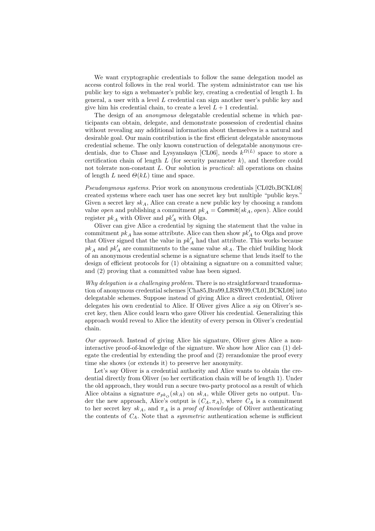We want cryptographic credentials to follow the same delegation model as access control follows in the real world. The system administrator can use his public key to sign a webmaster's public key, creating a credential of length 1. In general, a user with a level L credential can sign another user's public key and give him his credential chain, to create a level  $L + 1$  credential.

The design of an anonymous delegatable credential scheme in which participants can obtain, delegate, and demonstrate possession of credential chains without revealing any additional information about themselves is a natural and desirable goal. Our main contribution is the first efficient delegatable anonymous credential scheme. The only known construction of delegatable anonymous credentials, due to Chase and Lysyanskaya [CL06], needs  $k^{\Omega(L)}$  space to store a certification chain of length  $L$  (for security parameter  $k$ ), and therefore could not tolerate non-constant  $L$ . Our solution is *practical*: all operations on chains of length L need  $\Theta(kL)$  time and space.

Pseudonymous systems. Prior work on anonymous credentials [CL02b,BCKL08] created systems where each user has one secret key but multiple "public keys." Given a secret key  $sk_A$ , Alice can create a new public key by choosing a random value *open* and publishing a commitment  $pk_A = \text{Commit}(sk_A, open)$ . Alice could register  $pk_A$  with Oliver and  $pk'_A$  with Olga.

Oliver can give Alice a credential by signing the statement that the value in commitment  $p k_A$  has some attribute. Alice can then show  $p k_A'$  to Olga and prove that Oliver signed that the value in  $pk'_{A}$  had that attribute. This works because  $pk_A$  and  $pk'_A$  are commitments to the same value  $sk_A$ . The chief building block of an anonymous credential scheme is a signature scheme that lends itself to the design of efficient protocols for (1) obtaining a signature on a committed value; and (2) proving that a committed value has been signed.

Why delegation is a challenging problem. There is no straightforward transformation of anonymous credential schemes [Cha85,Bra99,LRSW99,CL01,BCKL08] into delegatable schemes. Suppose instead of giving Alice a direct credential, Oliver delegates his own credential to Alice. If Oliver gives Alice a sig on Oliver's secret key, then Alice could learn who gave Oliver his credential. Generalizing this approach would reveal to Alice the identity of every person in Oliver's credential chain.

Our approach. Instead of giving Alice his signature, Oliver gives Alice a noninteractive proof-of-knowledge of the signature. We show how Alice can (1) delegate the credential by extending the proof and (2) rerandomize the proof every time she shows (or extends it) to preserve her anonymity.

Let's say Oliver is a credential authority and Alice wants to obtain the credential directly from Oliver (so her certification chain will be of length 1). Under the old approach, they would run a secure two-party protocol as a result of which Alice obtains a signature  $\sigma_{pk_{\scriptscriptstyle O}}(sk_A)$  on  $sk_A$ , while Oliver gets no output. Under the new approach, Alice's output is  $(C_A, \pi_A)$ , where  $C_A$  is a commitment to her secret key  $sk_A$ , and  $\pi_A$  is a proof of knowledge of Oliver authenticating the contents of  $C_A$ . Note that a *symmetric* authentication scheme is sufficient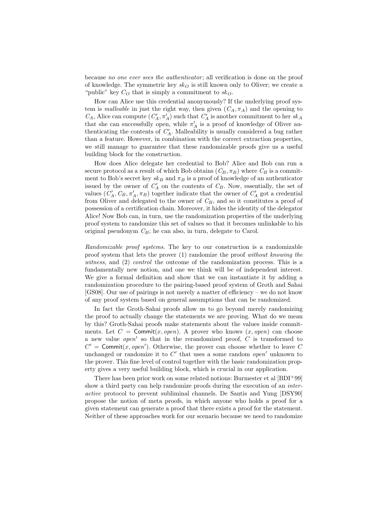because no one ever sees the authenticator; all verification is done on the proof of knowledge. The symmetric key  $sk<sub>O</sub>$  is still known only to Oliver; we create a "public" key  $C_O$  that is simply a commitment to  $sk_O$ .

How can Alice use this credential anonymously? If the underlying proof system is *malleable* in just the right way, then given  $(C_A, \pi_A)$  and the opening to  $C_A$ , Alice can compute  $(C'_A, \pi'_A)$  such that  $C'_A$  is another commitment to her  $sk_A$ that she can successfully open, while  $\pi'_A$  is a proof of knowledge of Oliver authenticating the contents of  $C'_A$ . Malleability is usually considered a bug rather than a feature. However, in combination with the correct extraction properties, we still manage to guarantee that these randomizable proofs give us a useful building block for the construction.

How does Alice delegate her credential to Bob? Alice and Bob can run a secure protocol as a result of which Bob obtains  $(C_B, \pi_B)$  where  $C_B$  is a commitment to Bob's secret key  $sk_B$  and  $\pi_B$  is a proof of knowledge of an authenticator issued by the owner of  $C_A'$  on the contents of  $C_B$ . Now, essentially, the set of values  $(C_A', C_B, \pi_A', \pi_B)$  together indicate that the owner of  $C_A'$  got a credential from Oliver and delegated to the owner of  $C_B$ , and so it constitutes a proof of possession of a certification chain. Moreover, it hides the identity of the delegator Alice! Now Bob can, in turn, use the randomization properties of the underlying proof system to randomize this set of values so that it becomes unlinkable to his original pseudonym  $C_B$ ; he can also, in turn, delegate to Carol.

Randomizable proof systems. The key to our construction is a randomizable proof system that lets the prover (1) randomize the proof without knowing the witness, and (2) control the outcome of the randomization process. This is a fundamentally new notion, and one we think will be of independent interest. We give a formal definition and show that we can instantiate it by adding a randomization procedure to the pairing-based proof system of Groth and Sahai [GS08]. Our use of pairings is not merely a matter of efficiency – we do not know of any proof system based on general assumptions that can be randomized.

In fact the Groth-Sahai proofs allow us to go beyond merely randomizing the proof to actually change the statements we are proving. What do we mean by this? Groth-Sahai proofs make statements about the values inside commitments. Let  $C = \text{Commit}(x, open)$ . A prover who knows  $(x, open)$  can choose a new value  $open'$  so that in the rerandomized proof,  $C$  is transformed to  $C' = \text{Commit}(x, open')$ . Otherwise, the prover can choose whether to leave C unchanged or randomize it to  $C'$  that uses a some random *open*' unknown to the prover. This fine level of control together with the basic randomization property gives a very useful building block, which is crucial in our application.

There has been prior work on some related notions: Burmester et al [BDI<sup>+</sup>99] show a third party can help randomize proofs during the execution of an *inter*active protocol to prevent subliminal channels. De Santis and Yung [DSY90] propose the notion of meta proofs, in which anyone who holds a proof for a given statement can generate a proof that there exists a proof for the statement. Neither of these approaches work for our scenario because we need to randomize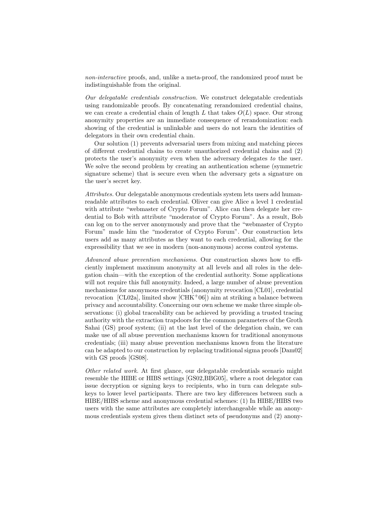non-interactive proofs, and, unlike a meta-proof, the randomized proof must be indistinguishable from the original.

Our delegatable credentials construction. We construct delegatable credentials using randomizable proofs. By concatenating rerandomized credential chains, we can create a credential chain of length  $L$  that takes  $O(L)$  space. Our strong anonymity properties are an immediate consequence of rerandomization: each showing of the credential is unlinkable and users do not learn the identities of delegators in their own credential chain.

Our solution (1) prevents adversarial users from mixing and matching pieces of different credential chains to create unauthorized credential chains and (2) protects the user's anonymity even when the adversary delegates to the user. We solve the second problem by creating an authentication scheme (symmetric signature scheme) that is secure even when the adversary gets a signature on the user's secret key.

Attributes. Our delegatable anonymous credentials system lets users add humanreadable attributes to each credential. Oliver can give Alice a level 1 credential with attribute "webmaster of Crypto Forum". Alice can then delegate her credential to Bob with attribute "moderator of Crypto Forum". As a result, Bob can log on to the server anonymously and prove that the "webmaster of Crypto Forum" made him the "moderator of Crypto Forum". Our construction lets users add as many attributes as they want to each credential, allowing for the expressibility that we see in modern (non-anonymous) access control systems.

Advanced abuse prevention mechanisms. Our construction shows how to efficiently implement maximum anonymity at all levels and all roles in the delegation chain—with the exception of the credential authority. Some applications will not require this full anonymity. Indeed, a large number of abuse prevention mechanisms for anonymous credentials (anonymity revocation [CL01], credential revocation [CL02a], limited show  $[CHK+06]$  aim at striking a balance between privacy and accountability. Concerning our own scheme we make three simple observations: (i) global traceability can be achieved by providing a trusted tracing authority with the extraction trapdoors for the common parameters of the Groth Sahai (GS) proof system; (ii) at the last level of the delegation chain, we can make use of all abuse prevention mechanisms known for traditional anonymous credentials; (iii) many abuse prevention mechanisms known from the literature can be adapted to our construction by replacing traditional sigma proofs [Dam02] with GS proofs [GS08].

Other related work. At first glance, our delegatable credentials scenario might resemble the HIBE or HIBS settings [GS02,BBG05], where a root delegator can issue decryption or signing keys to recipients, who in turn can delegate subkeys to lower level participants. There are two key differences between such a HIBE/HIBS scheme and anonymous credential schemes: (1) In HIBE/HIBS two users with the same attributes are completely interchangeable while an anonymous credentials system gives them distinct sets of pseudonyms and (2) anony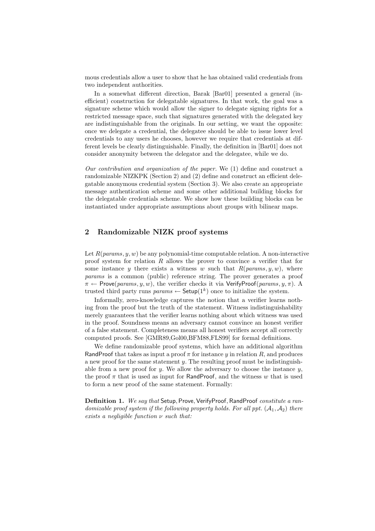mous credentials allow a user to show that he has obtained valid credentials from two independent authorities.

In a somewhat different direction, Barak [Bar01] presented a general (inefficient) construction for delegatable signatures. In that work, the goal was a signature scheme which would allow the signer to delegate signing rights for a restricted message space, such that signatures generated with the delegated key are indistinguishable from the originals. In our setting, we want the opposite: once we delegate a credential, the delegatee should be able to issue lower level credentials to any users he chooses, however we require that credentials at different levels be clearly distinguishable. Finally, the definition in [Bar01] does not consider anonymity between the delegator and the delegatee, while we do.

Our contribution and organization of the paper. We (1) define and construct a randomizable NIZKPK (Section 2) and (2) define and construct an efficient delegatable anonymous credential system (Section 3). We also create an appropriate message authentication scheme and some other additional building blocks for the delegatable credentials scheme. We show how these building blocks can be instantiated under appropriate assumptions about groups with bilinear maps.

# 2 Randomizable NIZK proof systems

Let  $R(params, y, w)$  be any polynomial-time computable relation. A non-interactive proof system for relation R allows the prover to convince a verifier that for some instance y there exists a witness w such that  $R(params, y, w)$ , where params is a common (public) reference string. The prover generates a proof  $\pi \leftarrow$  Prove(params, y, w), the verifier checks it via VerifyProof(params, y,  $\pi$ ). A trusted third party runs  $params \leftarrow$  Setup $(1<sup>k</sup>)$  once to initialize the system.

Informally, zero-knowledge captures the notion that a verifier learns nothing from the proof but the truth of the statement. Witness indistinguishability merely guarantees that the verifier learns nothing about which witness was used in the proof. Soundness means an adversary cannot convince an honest verifier of a false statement. Completeness means all honest verifiers accept all correctly computed proofs. See [GMR89,Gol00,BFM88,FLS99] for formal definitions.

We define randomizable proof systems, which have an additional algorithm RandProof that takes as input a proof  $\pi$  for instance y in relation R, and produces a new proof for the same statement  $y$ . The resulting proof must be indistinguishable from a new proof for  $y$ . We allow the adversary to choose the instance  $y$ , the proof  $\pi$  that is used as input for RandProof, and the witness w that is used to form a new proof of the same statement. Formally:

Definition 1. We say that Setup, Prove, VerifyProof, RandProof constitute a randomizable proof system if the following property holds. For all ppt.  $(A_1, A_2)$  there exists a negligible function  $\nu$  such that: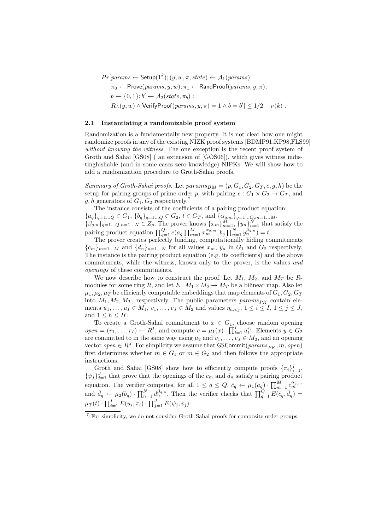$Pr[params \leftarrow \mathsf{Setup}(1^k); (y, w, \pi, state) \leftarrow \mathcal{A}_1(params);$ 

 $\pi_0 \leftarrow$  Prove( $params, y, w$ );  $\pi_1 \leftarrow$  RandProof( $params, y, \pi$ );  $b \leftarrow \{0, 1\}; b' \leftarrow \mathcal{A}_2(state, \pi_b)$ :  $R_L(y, w) \wedge$  VerifyProof $(\text{params}, y, \pi) = 1 \wedge b = b'] \leq 1/2 + \nu(k)$ .

### 2.1 Instantiating a randomizable proof system

Randomization is a fundamentally new property. It is not clear how one might randomize proofs in any of the existing NIZK proof systems [BDMP91,KP98,FLS99] without knowing the witness. The one exception is the recent proof system of Groth and Sahai [GS08] ( an extension of [GOS06]), which gives witness indistinghishable (and in some cases zero-knowledge) NIPKs. We will show how to add a randomization procedure to Groth-Sahai proofs.

Summary of Groth-Sahai proofs. Let  $params_{BM} = (p, G_1, G_2, G_T, e, g, h)$  be the setup for pairing groups of prime order p, with pairing  $e: G_1 \times G_2 \to G_T$ , and g, h generators of  $G_1, G_2$  respectively.<sup>7</sup>

The instance consists of the coefficients of a pairing product equation:  ${a_q}_{q=1...Q} \in G_1, \{b_q\}_{q=1...Q} \in G_2, t \in G_T, \text{ and } {\alpha_{q,m}}_{q=1...Q,m=1...M}$  $\{\beta_{q,n}\}_{q=1...Q,n=1...N} \in Z_p$ . The prover knows  $\{x_m\}_{m=1}^M$ ,  $\{y_n\}_{n=1}^N$  that satisfy the pairing product equation  $\prod_{q=1}^{Q} e(a_q \prod_{m=1}^{M} x_m^{\alpha_q, m}, b_q \prod_{n=1}^{N} y_n^{\beta_q, n}) = t.$ 

The prover creates perfectly binding, computationally hiding commitments  ${c_m}_{m=1...M}$  and  ${d_n}_{n=1...N}$  for all values  $x_m$ ,  $y_n$  in  $G_1$  and  $G_2$  respectively. The instance is the pairing product equation (e.g. its coefficients) and the above commitments, while the witness, known only to the prover, is the values and openings of these commitments.

We now describe how to construct the proof. Let  $M_1$ ,  $M_2$ , and  $M_T$  be Rmodules for some ring R, and let  $E: M_1 \times M_2 \to M_T$  be a bilinear map. Also let  $\mu_1, \mu_2, \mu_T$  be efficiently computable embeddings that map elements of  $G_1, G_2, G_T$ into  $M_1, M_2, M_T$ , respectively. The public parameters params<sub>PK</sub> contain elements  $u_1, \ldots, u_I \in M_1, v_1, \ldots, v_J \in M_2$  and values  $\eta_{h,i,j}, 1 \leq i \leq I, 1 \leq j \leq J$ , and  $1 \leq h \leq H$ .

To create a Groth-Sahai commitment to  $x \in G_1$ , choose random opening  $open = (r_1, \ldots, r_I) \leftarrow R^I$ , and compute  $c = \mu_1(x) \cdot \prod_{i=1}^I u_i^{r_i}$ . Elements  $y \in G_2$ are committed to in the same way using  $\mu_2$  and  $v_1, \ldots, v_J \in M_2$ , and an opening vector  $open \in R<sup>J</sup>$ . For simplicity we assume that GSCommit $(params_{PK}, m, open)$ first determines whether  $m \in G_1$  or  $m \in G_2$  and then follows the appropriate instructions.

Groth and Sahai [GS08] show how to efficiently compute proofs  $\{\pi_i\}_{i=1}^I$ ,  $\{\psi_j\}_{j=1}^J$  that prove that the openings of the  $c_m$  and  $d_n$  satisfy a pairing product equation. The verifier computes, for all  $1 \le q \le Q$ ,  $\hat{c}_q \leftarrow \mu_1(a_q) \cdot \prod_{m=1}^M c_m^{\alpha_q, m}$ and  $\hat{d}_q \leftarrow \mu_2(b_q) \cdot \prod_{n=1}^N d_n^{\beta_q,n}$ . Then the verifier checks that  $\prod_{q=1}^Q E(\hat{c}_q, \hat{d}_q)$  $\mu_T(t) \cdot \prod_{i=1}^I E(u_i, \pi_i) \cdot \prod_{j=1}^J E(\psi_j, v_j).$ 

 $\frac{7}{7}$  For simplicity, we do not consider Groth-Sahai proofs for composite order groups.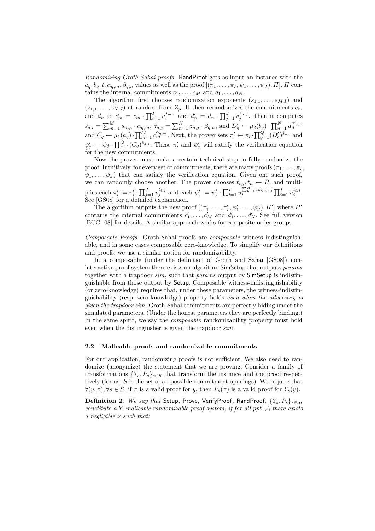Randomizing Groth-Sahai proofs. RandProof gets as input an instance with the  $a_q, b_q, t, \alpha_{q,m}, \beta_{q,n}$  values as well as the proof  $[(\pi_1, \ldots, \pi_I, \psi_1, \ldots, \psi_J), \Pi]$ . If contains the internal commitments  $c_1, \ldots, c_M$  and  $d_1, \ldots, d_N$ .

The algorithm first chooses randomization exponents  $(s_{1,1},\ldots,s_{M,I})$  and  $(z_{1,1},\ldots,z_{N,J})$  at random from  $Z_p$ . It then rerandomizes the commitments  $c_m$ and  $d_n$  to  $c'_m = c_m \cdot \prod_{i=1}^I u_i^{s_{m,i}}$  and  $d'_n = d_n \cdot \prod_{j=1}^J v_j^{z_{n,j}}$ . Then it computes  $\hat{s}_{q,i} = \sum_{m=1}^{M} s_{m,i} \cdot \alpha_{q,m}, \ \hat{z}_{q,j} = \sum_{n=1}^{N} z_{n,j} \cdot \beta_{q,n}, \text{ and } D'_q \leftarrow \mu_2(b_q) \cdot \prod_{n=1}^{N} d'_n^{\beta_{q,n}}$ and  $C_q \leftarrow \mu_1(a_q) \cdot \prod_{m=1}^M c_m^{\alpha_q, m}$ . Next, the prover sets  $\pi'_i \leftarrow \pi_i \cdot \prod_{q=1}^Q (D'_q)^{\hat{s}_{q,i}}$  and  $\psi'_j \leftarrow \psi_j \cdot \prod_{q=1}^Q (C_q)^{\hat{z}_{q,j}}$ . These  $\pi'_i$  and  $\psi'_j$  will satisfy the verification equation for the new commitments.

Now the prover must make a certain technical step to fully randomize the proof. Intuitively, for every set of commitments, there are many proofs  $(\pi_1, \ldots, \pi_I,$  $\psi_1, \ldots, \psi_J$  that can satisfy the verification equation. Given one such proof, we can randomly choose another: The prover chooses  $t_{i,j}, t_h \leftarrow R$ , and multiplies each  $\pi'_i := \pi'_i \cdot \prod_{j=1}^J v_j^{t_{i,j}}$  and each  $\psi'_j := \psi'_j \cdot \prod_{i=1}^I u_i^{\sum_{h=1}^H t_h \eta_{h,i,j}} \prod_{i=1}^I u_i^{t_{i,j}}$ . See [GS08] for a detailed explanation.

The algorithm outputs the new proof  $[(\pi'_1, \ldots, \pi'_I, \psi'_1, \ldots, \psi'_J), \Pi']$  where  $\Pi'$ contains the internal commitments  $c'_1, \ldots, c'_M$  and  $d'_1, \ldots, d'_N$ . See full version [BCC+08] for details. A similar approach works for composite order groups.

Composable Proofs. Groth-Sahai proofs are composable witness indistinguishable, and in some cases composable zero-knowledge. To simplify our definitions and proofs, we use a similar notion for randomizability.

In a composable (under the definition of Groth and Sahai [GS08]) noninteractive proof system there exists an algorithm SimSetup that outputs params together with a trapdoor sim, such that params output by SimSetup is indistinguishable from those output by Setup. Composable witness-indistinguishability (or zero-knowledge) requires that, under these parameters, the witness-indistinguishability (resp. zero-knowledge) property holds even when the adversary is given the trapdoor sim. Groth-Sahai commitments are perfectly hiding under the simulated parameters. (Under the honest parameters they are perfectly binding.) In the same spirit, we say the *composable* randomizability property must hold even when the distinguisher is given the trapdoor sim.

#### 2.2 Malleable proofs and randomizable commitments

For our application, randomizing proofs is not sufficient. We also need to randomize (anonymize) the statement that we are proving. Consider a family of transformations  $\{Y_s, P_s\}_{s\in S}$  that transform the instance and the proof respectively (for us, S is the set of all possible commitment openings). We require that  $\forall (y, \pi), \forall s \in S$ , if  $\pi$  is a valid proof for y, then  $P_s(\pi)$  is a valid proof for  $Y_s(y)$ .

Definition 2. We say that Setup, Prove, VerifyProof, RandProof,  $\{Y_s, P_s\}_{s \in S}$ , constitute a Y-malleable randomizable proof system, if for all ppt. A there exists a negligible  $\nu$  such that: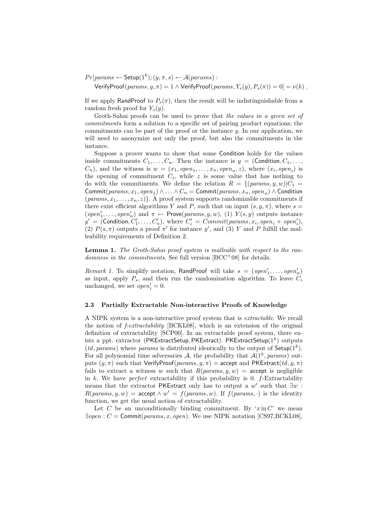$Pr[params \leftarrow \mathsf{Setup}(1^k); (y, \pi, s) \leftarrow \mathcal{A}(params)$ :

VerifyProof(params,  $y, \pi$ ) = 1  $\wedge$  VerifyProof(params,  $Y_s(y), P_s(\pi)$ ) = 0] =  $\nu(k)$ .

If we apply RandProof to  $P_s(\pi)$ , then the result will be indistinguishable from a random fresh proof for  $Y_s(y)$ .

Groth-Sahai proofs can be used to prove that the values in a given set of commitments form a solution to a specific set of pairing product equations; the commitments can be part of the proof or the instance  $y$ . In our application, we will need to anonymize not only the proof, but also the commitments in the instance.

Suppose a prover wants to show that some Condition holds for the values inside commitments  $C_1, \ldots, C_n$ . Then the instance is  $y = ($ Condition,  $C_1, \ldots,$  $C_n$ ), and the witness is  $w = (x_1, open_1, \ldots, x_n, open_n, z)$ , where  $(x_i, open_i)$  is the opening of commitment  $C_i$ , while z is some value that has nothing to do with the commitments. We define the relation  $R = \{(params, y, w) | C_1 =$ Commit $(\textit{params}, x_1, \textit{open}_1) \land \ldots \land C_n = \mathsf{Commit}(\textit{params}, x_n, \textit{open}_n) \land \mathsf{Condition}$ (params, x1, . . . , xn, z)}. A proof system supports randomizable commitments if there exist efficient algorithms Y and P, such that on input  $(s, y, \pi)$ , where  $s =$  $(open'_1, \ldots, open'_n)$  and  $\pi \leftarrow Prove(params, y, w)$ , (1)  $Y(s, y)$  outputs instance  $y' = ($ Condition,  $C'_1, \ldots, C'_n$ ), where  $C'_i = \text{Commit}(params, x_i, open_i + open'_i)$ , (2)  $P(s,\pi)$  outputs a proof  $\pi'$  for instance y', and (3) Y and P fulfill the malleability requirements of Definition 2.

Lemma 1. The Groth-Sahai proof system is malleable with respect to the randomness in the commitments. See full version  $[BCC<sup>+</sup>08]$  for details.

Remark 1. To simplify notation, RandProof will take  $s = (open'_1, \ldots, open'_n)$ as input, apply  $P_s$ , and then run the randomization algorithm. To leave  $C_i$ unchanged, we set  $open'_i = 0$ .

#### 2.3 Partially Extractable Non-interactive Proofs of Knowledge

A NIPK system is a non-interactive proof system that is extractable. We recall the notion of f-extractability [BCKL08], which is an extension of the original definition of extractability [SCP00]. In an extractable proof system, there exists a ppt.  $\text{extractor (PKExtractSetup, PKExtract). PKExtractSetup(1^k) outputs}$  $(td,params)$  where params is distributed identically to the output of  $\mathsf{Setup}(1^k)$ . For all polynomial time adversaries A, the probability that  $\mathcal{A}(1^k, p_{\text{arams}})$  outputs  $(y, \pi)$  such that VerifyProof(params,  $y, \pi$ ) = accept and PKExtract(td,  $y, \pi$ ) fails to extract a witness w such that  $R(params, y, w) =$  accept is negligible in  $k$ . We have *perfect* extractability if this probability is 0.  $f$ -Extractability means that the extractor PKExtract only has to output a  $w'$  such that  $\exists w$ :  $R(params, y, w) = \text{accept} \wedge w' = f(params, w)$ . If  $f(params, \cdot)$  is the identity function, we get the usual notion of extractability.

Let C be an unconditionally binding commitment. By ' $x \text{ in } C$ ' we mean  $\exists open : C = \text{Commit}(params, x, open).$  We use NIPK notation [CS97, BCKL08],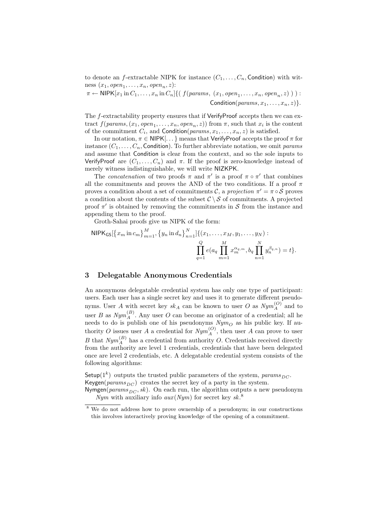to denote an f-extractable NIPK for instance  $(C_1, \ldots, C_n,$  Condition) with witness  $(x_1, open_1, \ldots, x_n, open_n, z)$ :

 $\pi \leftarrow \textsf{NIPK}[x_1 \text{ in } C_1, \ldots, x_n \text{ in } C_n] \{ (f(\textit{params}, (x_1, \textit{open}_1, \ldots, x_n, \textit{open}_n, z)) ) :$ Condition( $params, x_1, \ldots, x_n, z)$ ).

The f-extractability property ensures that if VerifyProof accepts then we can extract  $f(params, (x_1, open_1, \ldots, x_n, open_n, z))$  from  $\pi$ , such that  $x_i$  is the content of the commitment  $C_i$ , and Condition( $params, x_1, \ldots, x_n, z$ ) is satisfied.

In our notation,  $\pi \in \text{NIPK}[\dots]$  means that VerifyProof accepts the proof  $\pi$  for instance  $(C_1, \ldots, C_n,$  Condition). To further abbreviate notation, we omit params and assume that Condition is clear from the context, and so the sole inputs to VerifyProof are  $(C_1, \ldots, C_n)$  and  $\pi$ . If the proof is zero-knowledge instead of merely witness indistinguishable, we will write NIZKPK.

The *concatenation* of two proofs  $\pi$  and  $\pi'$  is a proof  $\pi \circ \pi'$  that combines all the commitments and proves the AND of the two conditions. If a proof  $\pi$ proves a condition about a set of commitments C, a projection  $\pi' = \pi \circ S$  proves a condition about the contents of the subset  $C \setminus S$  of commitments. A projected proof  $\pi'$  is obtained by removing the commitments in S from the instance and appending them to the proof.

Groth-Sahai proofs give us NIPK of the form:

NIPK<sub>GS</sub>[
$$
\{x_m \text{ in } c_m\}_{m=1}^M
$$
,  $\{y_n \text{ in } d_n\}_{n=1}^N$ ] $\{((x_1, ..., x_M, y_1, ..., y_N) :$   

$$
\prod_{q=1}^Q e(a_q \prod_{m=1}^M x_m^{\alpha_q, m}, b_q \prod_{n=1}^N y_n^{\beta_q, n}) = t\}.
$$

## 3 Delegatable Anonymous Credentials

An anonymous delegatable credential system has only one type of participant: users. Each user has a single secret key and uses it to generate different pseudonyms. User A with secret key  $sk_A$  can be known to user O as  $Nym_A^{(O)}$  and to user B as  $Nym_A^{(B)}$ . Any user O can become an originator of a credential; all he needs to do is publish one of his pseudonyms  $Nym_O$  as his public key. If authority O issues user A a credential for  $Nym_A^{(O)}$ , then user A can prove to user B that  $Nym_A^{(B)}$  has a credential from authority O. Credentials received directly from the authority are level 1 credentials, credentials that have been delegated once are level 2 credentials, etc. A delegatable credential system consists of the following algorithms:

 $\mathsf{Setup}(1^k)$  outputs the trusted public parameters of the system,  $params_{DC}$ . Keygen(params<sub>DC</sub>) creates the secret key of a party in the system.

Nymgen( $params_{DC}$ , sk). On each run, the algorithm outputs a new pseudonym Nym with auxiliary info  $aux(Nym)$  for secret key sk.<sup>8</sup>

<sup>8</sup> We do not address how to prove ownership of a pseudonym; in our constructions this involves interactively proving knowledge of the opening of a commitment.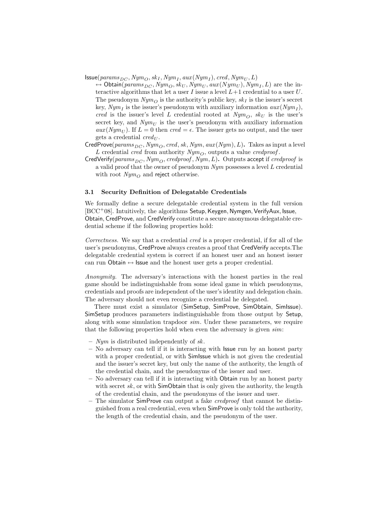$\mathsf{lassue}(\mathit{params}_\mathit{DC}, \mathit{Nym}_O, \mathit{sk}_I, \mathit{Nym}_I, \mathit{aux}(\mathit{Nym}_I), \mathit{cred}, \mathit{Nym}_U, L)$ 

- $\leftrightarrow$  Obtain( $params_{DC}$ ,  $Nym_O, sk_U, Nym_U, aux(Nym_U)$ ,  $Nym_I, L$ ) are the interactive algorithms that let a user  $I$  issue a level  $L+1$  credential to a user  $U$ . The pseudonym  $Nym<sub>O</sub>$  is the authority's public key,  $sk<sub>I</sub>$  is the issuer's secret key,  $Nym_I$  is the issuer's pseudonym with auxiliary information  $aux(Nym_I)$ , cred is the issuer's level L credential rooted at  $Nym_{\scriptscriptstyle O}$ ,  $sk_U$  is the user's secret key, and  $Nym_{U}$  is the user's pseudonym with auxiliary information  $aux(Nym_{II})$ . If  $L = 0$  then cred  $= \epsilon$ . The issuer gets no output, and the user gets a credential  $cred_{U}$ .
- CredProve(params<sub>DC</sub>, Nym<sub>O</sub>, cred, sk, Nym, aux (Nym), L). Takes as input a level L credential cred from authority  $Nym_{\mathcal{O}}$ , outputs a value credproof.
- CredVerify( $params_{DC}$ , Nym<sub>O</sub>, credproof, Nym, L). Outputs accept if credproof is a valid proof that the owner of pseudonym  $Nym$  possesses a level  $L$  credential with root  $Nym_{\odot}$  and reject otherwise.

#### 3.1 Security Definition of Delegatable Credentials

We formally define a secure delegatable credential system in the full version [BCC<sup>+</sup>08]. Intuitively, the algorithms Setup, Keygen, Nymgen, VerifyAux, Issue, Obtain, CredProve, and CredVerify constitute a secure anonymous delegatable credential scheme if the following properties hold:

Correctness. We say that a credential cred is a proper credential, if for all of the user's pseudonyms, CredProve always creates a proof that CredVerify accepts.The delegatable credential system is correct if an honest user and an honest issuer can run Obtain  $\leftrightarrow$  Issue and the honest user gets a proper credential.

Anonymity. The adversary's interactions with the honest parties in the real game should be indistinguishable from some ideal game in which pseudonyms, credentials and proofs are independent of the user's identity and delegation chain. The adversary should not even recognize a credential he delegated.

There must exist a simulator (SimSetup, SimProve, SimObtain, SimIssue). SimSetup produces parameters indistinguishable from those output by Setup, along with some simulation trapdoor sim. Under these parameters, we require that the following properties hold when even the adversary is given sim:

- $Nym$  is distributed independently of sk.
- No adversary can tell if it is interacting with Issue run by an honest party with a proper credential, or with SimIssue which is not given the credential and the issuer's secret key, but only the name of the authority, the length of the credential chain, and the pseudonyms of the issuer and user.
- No adversary can tell if it is interacting with Obtain run by an honest party with secret  $sk$ , or with SimObtain that is only given the authority, the length of the credential chain, and the pseudonyms of the issuer and user.
- The simulator SimProve can output a fake *credproof* that cannot be distinguished from a real credential, even when SimProve is only told the authority, the length of the credential chain, and the pseudonym of the user.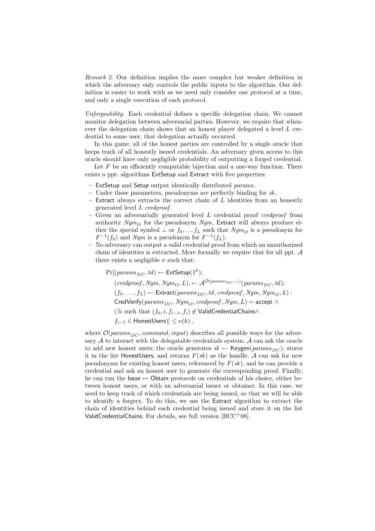Remark 2. Our definition implies the more complex but weaker definition in which the adversary only controls the public inputs to the algorithm. Our definition is easier to work with as we need only consider one protocol at a time, and only a single execution of each protocol.

Unforgeability. Each credential defines a specific delegation chain. We cannot monitor delegation between adversarial parties. However, we require that whenever the delegation chain shows that an honest player delegated a level  $L$  credential to some user, that delegation actually occurred.

In this game, all of the honest parties are controlled by a single oracle that keeps track of all honestly issued credentials. An adversary given access to this oracle should have only negligible probability of outputting a forged credential.

Let  $F$  be an efficiently computable bijection and a one-way function. There exists a ppt. algorithms ExtSetup and Extract with five properties:

- ExtSetup and Setup output identically distributed params.
- Under these parameters, pseudonyms are perfectly binding for  $sk$ .
- $-$  Extract always extracts the correct chain of L identities from an honestly generated level L credproof .
- $-$  Given an adversarially generated level  $L$  credential proof credproof from authority  $Nym<sub>O</sub>$  for the pseudonym  $Nym$ , Extract will always produce either the special symbol  $\perp$  or  $f_0, \ldots, f_L$  such that  $Nym_Q$  is a pseudonym for  $F^{-1}(f_0)$  and Nym is a pseudonym for  $F^{-1}(f_L)$ .
- No adversary can output a valid credential proof from which an unauthorized chain of identities is extracted. More formally we require that for all ppt. A there exists a negligible  $\nu$  such that:

```
\Pr[(params_{DC} , td) \leftarrow \textsf{ExtSetup}(1^k);(\text{credproof}, \text{Nym}, \text{Nym}_O, L), \leftarrow \mathcal{A}^{\mathcal{O}(\text{params}_{\text{DC}}, \cdot, \cdot)}(\text{params}_{\text{DC}}, \text{td});(f_0, \ldots, f_L) \leftarrow Extract(parent_ {DC}, td, credproof, Nym, Nym_ {O}, L):
CredVerify(params_{DC}, Nym_O, credproof, Nym, L) = accept \wedge(\exists i such that (f_0, i, f_{i-1}, f_i) \notin ValidCredentialChains∧
f_{i-1} \in HonestUsers)] \leq \nu(k),
```
where  $\mathcal{O}(params_{DC}, command, input)$  describes all possible ways for the adversary  $A$  to interact with the delegatable credentials system:  $A$  can ask the oracle to add new honest users; the oracle generates  $sk \leftarrow \text{Keygen}(params_{DC})$ , stores it in the list HonestUsers, and returns  $F(sk)$  as the handle. A can ask for new pseudonyms for existing honest users, referenced by  $F(sk)$ , and he can provide a credential and ask an honest user to generate the corresponding proof. Finally, he can run the Issue  $\leftrightarrow$  Obtain protocols on credentials of his choice, either between honest users, or with an adversarial issuer or obtainer. In this case, we need to keep track of which credentials are being issued, so that we will be able to identify a forgery. To do this, we use the Extract algorithm to extract the chain of identities behind each credential being issued and store it on the list ValidCredentialChains. For details, see full version [BCC<sup>+</sup>08].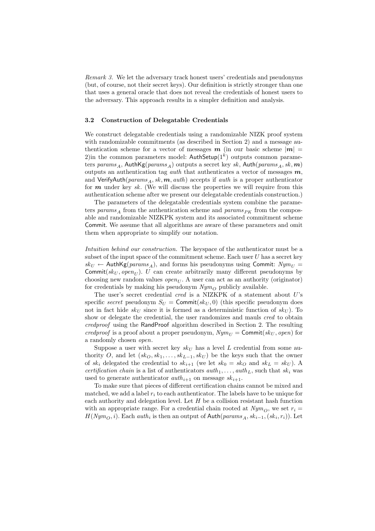Remark 3. We let the adversary track honest users' credentials and pseudonyms (but, of course, not their secret keys). Our definition is strictly stronger than one that uses a general oracle that does not reveal the credentials of honest users to the adversary. This approach results in a simpler definition and analysis.

## 3.2 Construction of Delegatable Credentials

We construct delegatable credentials using a randomizable NIZK proof system with randomizable commitments (as described in Section 2) and a message authentication scheme for a vector of messages  $m$  (in our basic scheme  $|m| =$ 2) in the common parameters model:  $\mathsf{AuthorUp}(1^k)$  outputs common parameters params<sub>A</sub>, AuthKg(params<sub>A</sub>) outputs a secret key sk, Auth(params<sub>A</sub>, sk, m) outputs an authentication tag *auth* that authenticates a vector of messages  $m$ , and VerifyAuth( $params_A, sk, m, auth$ ) accepts if *auth* is a proper authenticator for  $m$  under key sk. (We will discuss the properties we will require from this authentication scheme after we present our delegatable credentials construction.)

The parameters of the delegatable credentials system combine the parameters params<sub>A</sub> from the authentication scheme and params<sub>PK</sub> from the composable and randomizable NIZKPK system and its associated commitment scheme Commit. We assume that all algorithms are aware of these parameters and omit them when appropriate to simplify our notation.

Intuition behind our construction. The keyspace of the authenticator must be a subset of the input space of the commitment scheme. Each user  $U$  has a secret key  $sk_U \leftarrow$  AuthKg(params<sub>A</sub>), and forms his pseudonyms using Commit:  $Nym_U =$ Commit( $sk_U, open_U$ ). U can create arbitrarily many different pseudonyms by choosing new random values  $open_U$ . A user can act as an authority (originator) for credentials by making his pseudonym  $Nym<sub>O</sub>$  publicly available.

The user's secret credential  $cred$  is a NIZKPK of a statement about  $U$ 's specific secret pseudonym  $S_U = \text{Commit}(sk_U, 0)$  (this specific pseudonym does not in fact hide  $sk_U$  since it is formed as a deterministic function of  $sk_U$ ). To show or delegate the credential, the user randomizes and mauls *cred* to obtain credproof using the RandProof algorithm described in Section 2. The resulting credproof is a proof about a proper pseudonym,  $Nym_{U} = \text{Commit}(sk_{U}, open)$  for a randomly chosen open.

Suppose a user with secret key  $sk_U$  has a level L credential from some authority O, and let  $(sk_O, sk_1, \ldots, sk_{L-1}, sk_U)$  be the keys such that the owner of  $sk_i$  delegated the credential to  $sk_{i+1}$  (we let  $sk_0 = sk_0$  and  $sk_L = sk_U$ ). A certification chain is a list of authenticators  $auth_1, \ldots,auth_L$ , such that  $sk_i$  was used to generate authenticator  $auth_{i+1}$  on message  $sk_{i+1}$ .

To make sure that pieces of different certification chains cannot be mixed and matched, we add a label  $r_i$  to each authenticator. The labels have to be unique for each authority and delegation level. Let  $H$  be a collision resistant hash function with an appropriate range. For a credential chain rooted at  $Nym<sub>O</sub>$ , we set  $r<sub>i</sub> =$  $H(Nym_O, i)$ . Each  $auth_i$  is then an output of  $\textsf{Auth}(params_A, sk_{i-1}, (sk_i, r_i))$ . Let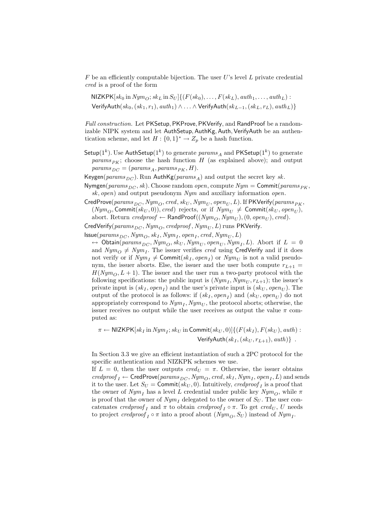$F$  be an efficiently computable bijection. The user U's level L private credential cred is a proof of the form

 $NIZKPK[sk_0 in Nym_O; sk_L in S_U]{(F(sk_0), \ldots, F(sk_L), auth_1, \ldots, auth_L)}$ : VerifyAuth $(sk_0, (sk_1, r_1), auth_1) \wedge ... \wedge$ VerifyAuth $(sk_{L-1}, (sk_L, r_L), auth_L)$ }

Full construction. Let PKSetup, PKProve, PKVerify, and RandProof be a randomizable NIPK system and let AuthSetup, AuthKg, Auth, VerifyAuth be an authentication scheme, and let  $H: \{0,1\}^* \to Z_p$  be a hash function.

 $\mathsf{Setup}(1^k)$ . Use  $\mathsf{Author} (1^k)$  to generate  $params_A$  and  $\mathsf{PKSetup}(1^k)$  to generate params<sub>PK</sub>; choose the hash function H (as explained above); and output  $params_{DC} = (params_A, params_{PK}, H).$ 

Keygen(params<sub>DC</sub>). Run AuthKg(params<sub>A</sub>) and output the secret key sk.

- Nymgen(params $_{DC}$ , sk). Choose random *open*, compute  $Nym = \text{Commit}(params_{PK},$  $sk, open)$  and output pseudonym  $Nym$  and auxiliary information  $open.$
- CredProve(params<sub>DC</sub>, Nym<sub>O</sub>, cred, sk<sub>U</sub>, Nym<sub>U</sub>, open<sub>U</sub>, L). If PKVerify(params<sub>PK</sub>,  $(Nym_O, \text{Commit}(sk_U, 0)), \text{cred})$  rejects, or if  $Nym_U \neq \text{Commit}(sk_U, open_U),$ abort. Return credproof  $\leftarrow$  RandProof( $(Nym_O, Nym_{II}), (0, open_{II}), cred$ ).

CredVerify( $params_{DC}$ ,  $Nym_O$ ,  $credproof$ ,  $Nym_U$ ,  $L$ ) runs PKVerify.

 $\textsf{issue}(\textit{params}_\textit{DC}, \textit{Nym}_O, \textit{sk}_I, \textit{Nym}_I, \textit{open}_I, \textit{cred}, \textit{Nym}_U, L)$ 

 $\leftrightarrow$  Obtain( $params_{DC}$ ,  $Nym_O$ ,  $sk_U$ ,  $Nym_U$ ,  $open_U$ ,  $Nym_I$ ,  $L$ ). Abort if  $L = 0$ and  $Nym_{O} \neq Nym_{I}$ . The issuer verifies *cred* using CredVerify and if it does not verify or if  $Nym_I \neq \text{Commit}(sk_I, open_I)$  or  $Nym_U$  is not a valid pseudonym, the issuer aborts. Else, the issuer and the user both compute  $r_{L+1}$  =  $H(Nym<sub>O</sub>, L + 1)$ . The issuer and the user run a two-party protocol with the following specifications: the public input is  $(Nym_I, Nym_U, r_{L+1})$ ; the issuer's private input is  $(sk_I, open_I)$  and the user's private input is  $(sk_U, open_U)$ . The output of the protocol is as follows: if  $(k_1, open_1)$  and  $(k_0, open_U)$  do not appropriately correspond to  $Nym_I, Nym_U$ , the protocol aborts; otherwise, the issuer receives no output while the user receives as output the value  $\pi$  computed as:

 $\pi \leftarrow \mathsf{NIZKPK}[sk_I \text{ in } \mathit{Nym}_I; sk_U \text{ in } \mathsf{Commit}(sk_U, 0)] \{ (F(sk_I), F(sk_U), \text{auth} \}$ : VerifyAuth $(sk_I, (sk_U, r_{L+1}), auth)$  .

In Section 3.3 we give an efficient instantiation of such a 2PC protocol for the specific authentication and NIZKPK schemes we use.

If  $L = 0$ , then the user outputs  $cred_{U} = \pi$ . Otherwise, the issuer obtains  ${\it credproof}_I \leftarrow \mathsf{CredProve}({\itparams}_{{\it DC}}, {\it Nym}_O, {\it cred}, {\it sk}_I, {\it Nym}_I, {\it open}_I, L)$  and sends it to the user. Let  $S_U = \text{Commit}(sk_U, 0)$ . Intuitively,  $\text{credproof}_I$  is a proof that the owner of  $Nym_I$  has a level L credential under public key  $Nym_O$ , while  $\pi$ is proof that the owner of  $Nym_I$  delegated to the owner of  $S_U$ . The user concatenates credproof I and  $\pi$  to obtain credproof  $I \circ \pi$ . To get cred<sub>U</sub>, U needs to project credproof<sub>I</sub>  $\circ \pi$  into a proof about  $(Nym_O, S_U)$  instead of  $Nym_I$ .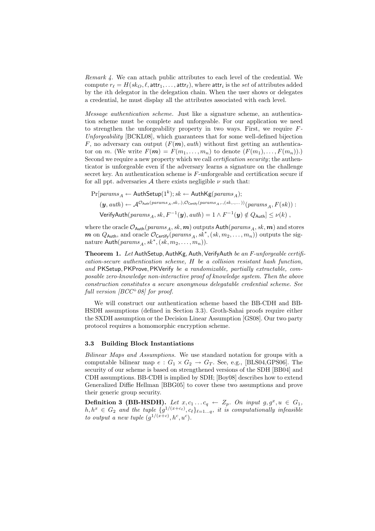Remark 4. We can attach public attributes to each level of the credential. We compute  $r_\ell = H(sk_O, \ell, \mathsf{attr}_1, \dots, \mathsf{attr}_\ell),$  where  $\mathsf{attr}_i$  is the  $set$  of attributes added by the ith delegator in the delegation chain. When the user shows or delegates a credential, he must display all the attributes associated with each level.

Message authentication scheme. Just like a signature scheme, an authentication scheme must be complete and unforgeable. For our application we need to strengthen the unforgeability property in two ways. First, we require  $F$ -Unforgeability [BCKL08], which guarantees that for some well-defined bijection F, no adversary can output  $(F(m), auth)$  without first getting an authenticator on m. (We write  $F(m) = F(m_1, \ldots, m_n)$  to denote  $(F(m_1), \ldots, F(m_n))$ .) Second we require a new property which we call *certification security*; the authenticator is unforgeable even if the adversary learns a signature on the challenge secret key. An authentication scheme is F-unforgeable and certification secure if for all ppt. adversaries  $A$  there exists negligible  $\nu$  such that:

$$
\Pr[params_A \leftarrow \mathsf{Author}(1^k); sk \leftarrow \mathsf{Author}(params_A);
$$
  

$$
(\mathbf{y}, \mathit{auth}) \leftarrow \mathcal{A}^{O_{\mathsf{Author}}(params_A, sk,.), O_{\mathsf{Certify}}(params_A, .., (sk, ....))}(\mathit{params}_A, F(sk)) :
$$
  
Verify
$$
\mathsf{VerifyAuth}(\mathit{params}_A, sk, F^{-1}(\mathbf{y}), \mathit{auth}) = 1 \wedge F^{-1}(\mathbf{y}) \notin Q_{\mathsf{Author}}] \leq \nu(k) ,
$$

where the oracle  $\mathcal{O}_{\text{Auth}}(params_A, sk, m)$  outputs  $\text{Auth}(params_A, sk, m)$  and stores **m** on  $Q_{\text{Auth}}$ , and oracle  $\mathcal{O}_{\text{Centify}}(params_A, sk^*, (sk, m_2, \ldots, m_n))$  outputs the signature  $\mathsf{Auth}(\mathit{params}_A, \mathit{sk}^*,(\mathit{sk}, m_2, \ldots, m_n)).$ 

Theorem 1. Let AuthSetup, AuthKg, Auth, VerifyAuth be an F-unforgeable certification-secure authentication scheme, H be a collision resistant hash function, and PKSetup, PKProve, PKVerify be a randomizable, partially extractable, composable zero-knowledge non-interactive proof of knowledge system. Then the above construction constitutes a secure anonymous delegatable credential scheme. See full version  $|BCC^+08|$  for proof.

We will construct our authentication scheme based the BB-CDH and BB-HSDH assumptions (defined in Section 3.3). Groth-Sahai proofs require either the SXDH assumption or the Decision Linear Assumption [GS08]. Our two party protocol requires a homomorphic encryption scheme.

#### 3.3 Building Block Instantiations

Bilinear Maps and Assumptions. We use standard notation for groups with a computable bilinear map  $e: G_1 \times G_2 \rightarrow G_T$ . See, e.g., [BLS04,GPS06]. The security of our scheme is based on strengthened versions of the SDH [BB04] and CDH assumptions. BB-CDH is implied by SDH; [Boy08] describes how to extend Generalized Diffie Hellman [BBG05] to cover these two assumptions and prove their generic group security.

**Definition 3 (BB-HSDH).** Let  $x, c_1 \ldots c_q \leftarrow Z_p$ . On input  $g, g^x, u \in G_1$ ,  $h, h^x \in G_2$  and the tuple  $\{g^{1/(x+c_{\ell})}, c_{\ell}\}_{\ell=1...q}$ , it is computationally infeasible to output a new tuple  $(g^{1/(x+c)}, h^c, u^c)$ .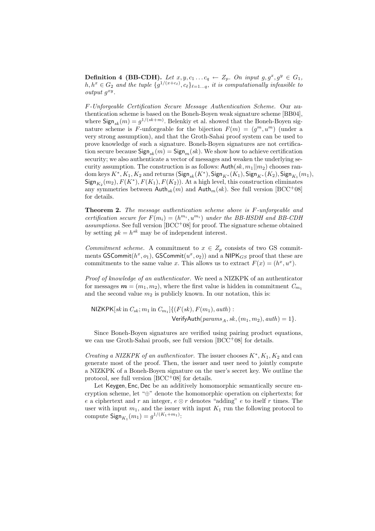**Definition 4 (BB-CDH).** Let  $x, y, c_1 \ldots c_q \leftarrow Z_p$ . On input  $g, g^x, g^y \in G_1$ ,  $h, h^x \in G_2$  and the tuple  $\{g^{1/(x+c_{\ell})}, c_{\ell}\}_{\ell=1...q}$ , it is computationally infeasible to  $output\ g^{xy}.$ 

F-Unforgeable Certification Secure Message Authentication Scheme. Our authentication scheme is based on the Boneh-Boyen weak signature scheme [BB04], where  $\textsf{Sign}_{sk}(m) = g^{1/(sk+m)}$ . Belenkiy et al. showed that the Boneh-Boyen signature scheme is F-unforgeable for the bijection  $F(m) = (g^m, u^m)$  (under a very strong assumption), and that the Groth-Sahai proof system can be used to prove knowledge of such a signature. Boneh-Boyen signatures are not certification secure because  $\textsf{Sign}_{sk}(m) = \textsf{Sign}_{m}(sk)$ . We show how to achieve certification security; we also authenticate a vector of messages and weaken the underlying security assumption. The construction is as follows:  $\text{Auth}(sk, m_1||m_2)$  chooses random keys  $K^*, K_1, K_2$  and returns  $(\mathsf{Sign}_{sk}(K^*), \mathsf{Sign}_{K^*}(K_1), \mathsf{Sign}_{K^*}(K_2), \mathsf{Sign}_{K_1}(m_1),$  $\textsf{Sign}_{K_2}(m_2), F(K^*), F(K_1), F(K_2)$ . At a high level, this construction eliminates any symmetries between  $\text{Aut}_{sk}(m)$  and  $\text{Aut}_{mk}(sk)$ . See full version [BCC+08] for details.

Theorem 2. The message authentication scheme above is F-unforgeable and certification secure for  $F(m_i) = (h^{m_i}, u^{m_i})$  under the BB-HSDH and BB-CDH assumptions. See full version  $[BCC^+08]$  for proof. The signature scheme obtained by setting  $pk = h^{sk}$  may be of independent interest.

Commitment scheme. A commitment to  $x \in Z_p$  consists of two GS commitments  ${\sf GSCommit}(h^x, o_1), {\sf GSCommit}(u^x, o_2))$  and a  ${\sf NIPK}_{GS}$  proof that these are commitments to the same value x. This allows us to extract  $F(x) = (h^x, u^x)$ .

Proof of knowledge of an authenticator. We need a NIZKPK of an authenticator for messages  $\mathbf{m} = (m_1, m_2)$ , where the first value is hidden in commitment  $C_{m_1}$ and the second value  $m_2$  is publicly known. In our notation, this is:

 $NIZKPK[sk in C_{sk}; m_1 in C_{m_1}]\{(F(sk), F(m_1), author):$ VerifyAuth( $params_A, sk, (m_1, m_2), auth$ ) = 1}.

Since Boneh-Boyen signatures are verified using pairing product equations, we can use Groth-Sahai proofs, see full version [BCC+08] for details.

*Creating a NIZKPK of an authenticator.* The issuer chooses  $K^*, K_1, K_2$  and can generate most of the proof. Then, the issuer and user need to jointly compute a NIZKPK of a Boneh-Boyen signature on the user's secret key. We outline the protocol, see full version  $[BCC<sup>+</sup>08]$  for details.

Let Keygen, Enc, Dec be an additively homomorphic semantically secure encryption scheme, let "⊕" denote the homomorphic operation on ciphertexts; for e a ciphertext and r an integer,  $e \otimes r$  denotes "adding" e to itself r times. The user with input  $m_1$ , and the issuer with input  $K_1$  run the following protocol to compute  $\mathsf{Sign}_{K_1}(m_1) = g^{1/(K_1+m_1)}$ :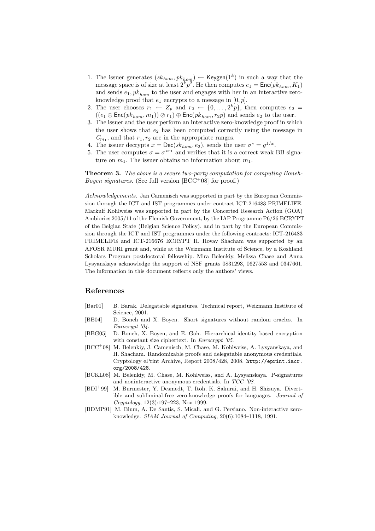- 1. The issuer generates  $(sk_{hom}, pk_{hom}) \leftarrow \text{Keygen}(1^k)$  in such a way that the message space is of size at least  $2^k p^2$ . He then computes  $e_1 = \text{Enc}(pk_{hom}, K_1)$ and sends  $e_1, pk_{hom}$  to the user and engages with her in an interactive zeroknowledge proof that  $e_1$  encrypts to a message in  $[0, p]$ .
- 2. The user chooses  $r_1 \leftarrow Z_p$  and  $r_2 \leftarrow \{0, \ldots, 2^k p\}$ , then computes  $e_2 =$  $((e_1 \oplus \textsf{Enc}(pk_{hom}, m_1)) \otimes r_1) \oplus \textsf{Enc}(pk_{hom}, r_2p)$  and sends  $e_2$  to the user.
- 3. The issuer and the user perform an interactive zero-knowledge proof in which the user shows that  $e_2$  has been computed correctly using the message in  $C_{m_1}$ , and that  $r_1, r_2$  are in the appropriate ranges.
- 4. The issuer decrypts  $x = \text{Dec}(sk_{hom}, e_2)$ , sends the user  $\sigma^* = g^{1/x}$ .
- 5. The user computes  $\sigma = \sigma^{*r_1}$  and verifies that it is a correct weak BB signature on  $m_1$ . The issuer obtains no information about  $m_1$ .

**Theorem 3.** The above is a secure two-party computation for computing Boneh-Boyen signatures. (See full version  $[BCC+08]$  for proof.)

Acknowledgements. Jan Camenisch was supported in part by the European Commission through the ICT and IST programmes under contract ICT-216483 PRIMELIFE. Markulf Kohlweiss was supported in part by the Concerted Research Action (GOA) Ambiorics 2005/11 of the Flemish Government, by the IAP Programme P6/26 BCRYPT of the Belgian State (Belgian Science Policy), and in part by the European Commission through the ICT and IST programmes under the following contracts: ICT-216483 PRIMELIFE and ICT-216676 ECRYPT II. Hovav Shacham was supported by an AFOSR MURI grant and, while at the Weizmann Institute of Science, by a Koshland Scholars Program postdoctoral fellowship. Mira Belenkiy, Melissa Chase and Anna Lysyanskaya acknowledge the support of NSF grants 0831293, 0627553 and 0347661. The information in this document reflects only the authors' views.

## References

- [Bar01] B. Barak. Delegatable signatures. Technical report, Weizmann Institute of Science, 2001.
- [BB04] D. Boneh and X. Boyen. Short signatures without random oracles. In Eurocrypt '04.
- [BBG05] D. Boneh, X. Boyen, and E. Goh. Hierarchical identity based encryption with constant size ciphertext. In Eurocrypt '05.
- [BCC<sup>+</sup>08] M. Belenkiy, J. Camenisch, M. Chase, M. Kohlweiss, A. Lysyanskaya, and H. Shacham. Randomizable proofs and delegatable anonymous credentials. Cryptology ePrint Archive, Report 2008/428, 2008. http://eprint.iacr. org/2008/428.
- [BCKL08] M. Belenkiy, M. Chase, M. Kohlweiss, and A. Lysyanskaya. P-signatures and noninteractive anonymous credentials. In TCC '08.
- [BDI<sup>+</sup>99] M. Burmester, Y. Desmedt, T. Itoh, K. Sakurai, and H. Shizuya. Divertible and subliminal-free zero-knowledge proofs for languages. Journal of Cryptology, 12(3):197–223, Nov 1999.
- [BDMP91] M. Blum, A. De Santis, S. Micali, and G. Persiano. Non-interactive zeroknowledge. SIAM Journal of Computing, 20(6):1084–1118, 1991.